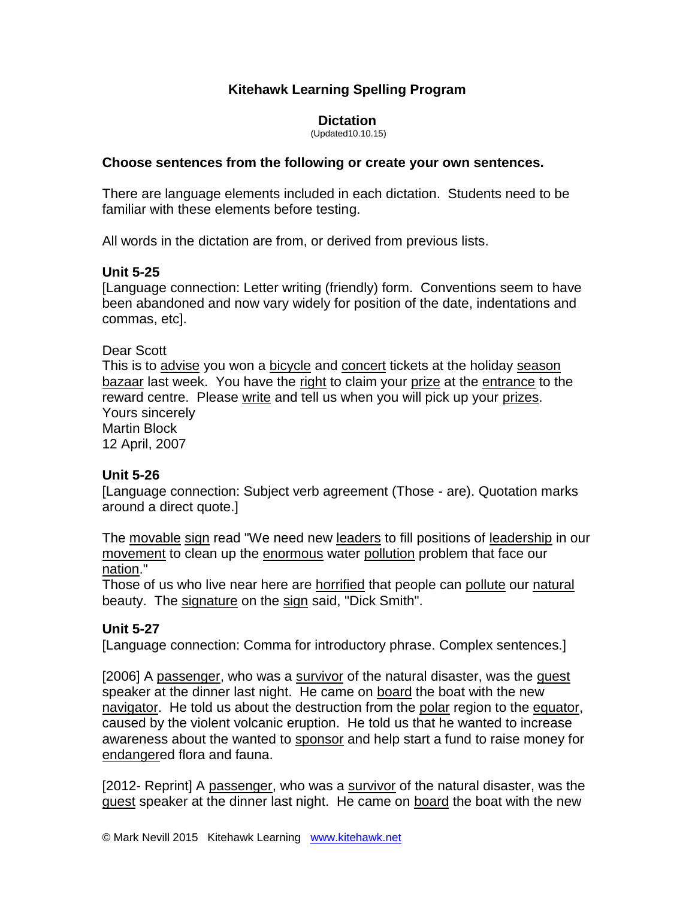# **Kitehawk Learning Spelling Program**

## **Dictation**

(Updated10.10.15)

#### **Choose sentences from the following or create your own sentences.**

There are language elements included in each dictation. Students need to be familiar with these elements before testing.

All words in the dictation are from, or derived from previous lists.

# **Unit 5-25**

[Language connection: Letter writing (friendly) form. Conventions seem to have been abandoned and now vary widely for position of the date, indentations and commas, etc].

#### Dear Scott

This is to advise you won a bicycle and concert tickets at the holiday season bazaar last week. You have the right to claim your prize at the entrance to the reward centre. Please write and tell us when you will pick up your prizes. Yours sincerely Martin Block 12 April, 2007

# **Unit 5-26**

[Language connection: Subject verb agreement (Those - are). Quotation marks around a direct quote.]

The movable sign read "We need new leaders to fill positions of leadership in our movement to clean up the enormous water pollution problem that face our nation."

Those of us who live near here are horrified that people can pollute our natural beauty. The signature on the sign said, "Dick Smith".

# **Unit 5-27**

[Language connection: Comma for introductory phrase. Complex sentences.]

[2006] A passenger, who was a survivor of the natural disaster, was the guest speaker at the dinner last night. He came on board the boat with the new navigator. He told us about the destruction from the polar region to the equator, caused by the violent volcanic eruption. He told us that he wanted to increase awareness about the wanted to sponsor and help start a fund to raise money for endangered flora and fauna.

[2012- Reprint] A passenger, who was a survivor of the natural disaster, was the guest speaker at the dinner last night. He came on board the boat with the new